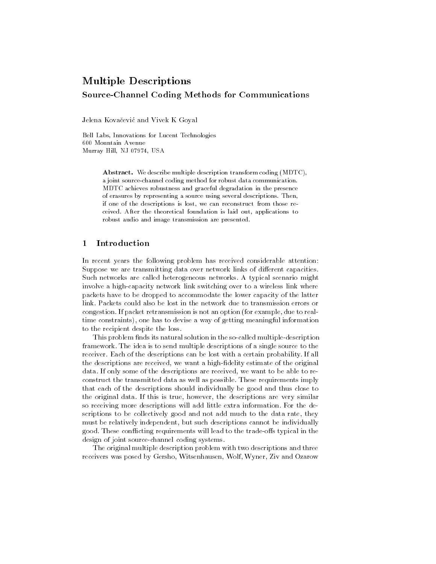# Multiple Descriptions Source-Channel Coding Methods for Communications

Jelena Kovačević and Vivek K Goyal

Bell Labs, Innovations for Lucent Technologies Murray Hill NJ - USA

> Abstract. We describe multiple description transform coding (MDTC), a joint source-channel coding method for robust data communication. MDTC achieves robustness and graceful degradation in the presence of erasures by representing a source using several descriptions. Then, if one of the descriptions is lost, we can reconstruct from those received. After the theoretical foundation is laid out, applications to robust audio and image transmission are presented

### Introduction

In recent years the following problem has received considerable attention: Suppose we are transmitting data over network links of different capacities. Such networks are called heterogeneous networks A typical scenario might involve a high-capacity network link switching over to a wireless link where packets have to be dropped to accommodate the lower capacity of the latter link Packets could also be lost in the network due to transmission errors or congestion. If packet retransmission is not an option (for example, due to realtime constraints), one has to devise a way of getting meaningful information to the recipient despite the loss

This problem finds its natural solution in the so-called multiple-description framework The idea is to send multiple descriptions of a single source to the receiver. Each of the descriptions can be lost with a certain probability. If all the descriptions are received, we want a high-fidelity estimate of the original data. If only some of the descriptions are received, we want to be able to reconstruct the transmitted data as well as possible These requirements imply that each of the descriptions should individually be good and thus close to the original data. If this is true, however, the descriptions are very similar so receiving more descriptions will add little extra information For the de scriptions to be collectively good and not add much to the data rate, they must be relatively independent, but such descriptions cannot be individually good These con icting requirements will lead to the tradeos typical in the design of joint source-channel coding systems.

The original multiple description problem with two descriptions and three receivers was posed by Gersho, Witsenhausen, Wolf, Wyner, Ziv and Ozarow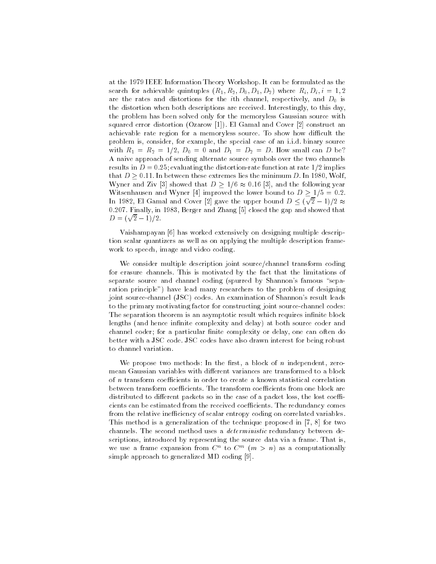at the 1979 IEEE Information Theory Workshop. It can be formulated as the  $\mathcal{L}$  search for achievable  $\{X_i\}$ ,  $\{Y_i\}$  be  $\{Y_i\}$  and  $\{Y_i\}$  and  $\{Y_i\}$  and  $\{Y_i\}$ are the rates and distortions for the ith channel respectively and D- is the distortion when both descriptions are received. Interestingly, to this day, the problem has been solved only for the memoryless Gaussian source with squared error distortion (Ozarow [1]). El Gamal and Cover  $[2]$  construct an achievable rate region for a memoryless source. To show how difficult the problem is, consider, for example, the special case of an i.i.d. binary source with R  $\alpha$  , and D  $\alpha$  , and D  $\alpha$  and D  $\alpha$  and D  $\alpha$  and D because  $\alpha$  because  $\alpha$  because  $\alpha$ A naive approach of sending alternate source symbols over the two channels results in D - evaluations in the distortion at rate in the distortion at rate  $\frac{1}{2}$  , and in the distortion that  $D \geq 0.11$ . In between these extremes lies the minimum D. In 1980, Wolf, Wyner and Ziv [3] showed that  $D \geq 1/6 \approx 0.16$  [3], and the following year Witsenhausen and Wyner [4] improved the lower bound to  $D \geq 1/5 = 0.2$ . In 1982, El Gamal and Cover [2] gave the upper bound  $D \leq (\sqrt{2}-1)/2 \approx$ , and the show in the gap and  $\alpha$  in the gap and showed the gap and showed the showed the gap and showed the showed that  $\alpha$  $D = (\sqrt{2} - 1)/2$ .

Vaishampayan [6] has worked extensively on designing multiple description scalar quantizers as well as on applying the multiple description frame work to speech, image and video coding.

We consider multiple description joint source/channel transform coding for erasure channels This is motivated by the fact that the limitations of separate source and channel coding (spurred by Shannon's famous "separation principle") have lead many researchers to the problem of designing joint source-channel (JSC) codes. An examination of Shannon's result leads to the primary motivating factor for constructing joint source-channel codes: The separation theorem is an asymptotic result which requires infinite block lengths (and hence infinite complexity and delay) at both source coder and channel coder; for a particular finite complexity or delay, one can often do better with a JSC code. JSC codes have also drawn interest for being robust to channel variation

we propose two methods-methods-methods-methods-methods-methods-methods-methodsmean Gaussian variables with different variances are transformed to a block of  $n$  transform coefficients in order to create a known statistical correlation between transform coefficients. The transform coefficients from one block are distributed to different packets so in the case of a packet loss, the lost coefficients can be estimated from the received coefficients. The redundancy comes from the relative inefficiency of scalar entropy coding on correlated variables. This method is a generalization of the technique proposed in  $[7, 8]$  for two channels. The second method uses a *deterministic* redundancy between descriptions introduced by representing the source data via a frame That is we use a frame expansion from C to C the  $(m > n)$  as a computationally simple approach to generalized MD coding [9].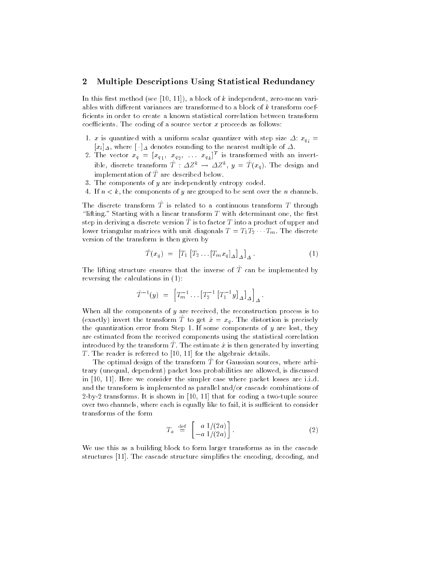#### $\bf{2}$ Multiple Descriptions Using Statistical Redundancy

In this first method (see  $[10, 11]$ ), a block of k independent, zero-mean variables with different variances are transformed to a block of  $k$  transform coefficients in order to create a known statistical correlation between transform coefficients. The coding of a source vector x proceeds as follows:

- $\sim$  is the quantization with a uniform step size of uniform step size  $\sim$   $\sim$   $y_s$  $\imath$  is a set of  $\imath$  $|x_i|\Delta$ , where  $|\cdot|\Delta$  denotes rounding to the nearest multiple of  $\Delta$ .
- 2. The vector  $x_q = [x_{q_1}, x_{q_2}, \ldots x_{q_k}]^{\top}$  is transformed with an invertible, discrete transform  $I: \Delta Z^* \rightarrow \Delta Z^*$ ,  $y = I(x_a)$ . The design and implementation of  $\hat{T}$  are described below.
- 3. The components of  $y$  are independently entropy coded.
- 4. If  $n < k$ , the components of y are grouped to be sent over the n channels.

The discrete transform T is related to a continuous transform T through "lifting." Starting with a linear transform  $T$  with determinant one, the first step in deriving a discrete version  $\hat{T}$  is to factor  $T$  into a product of upper and lower triangular matrices with unit diagonals  $T = T_1 T_2 \cdots T_m$ . The discrete version of the transform is then given by

$$
\hat{T}(x_q) = [T_1 [T_2 \dots [T_m x_q]_{\Delta}]_{\Delta}]_{\Delta}.
$$
\n(1)

The lifting structure ensures that the inverse of T can be implemented by reversing the calculations in  $(1)$ :

$$
\hat{T}^{-1}(y) = \left[ T_m^{-1} \dots \left[ T_2^{-1} \left[ T_1^{-1} y \right]_{\Delta} \right]_{\Delta} \right]_{\Delta}.
$$

When all the components of  $y$  are received, the reconstruction process is to (exactly) invert the transform T to get  $\hat{x} = x_q$ . The distortion is precisely the quantization error from Step 1. If some components of  $y$  are lost, they are estimated from the received components using the statistical correlation  $\min$  due to the transform  $T$  . The estimate  $x$  is then generated by inverting T. The reader is referred to  $[10, 11]$  for the algebraic details.

The optimal design of the transform  $\overline{T}$  for Gaussian sources, where arbitrary (unequal, dependent) packet loss probabilities are allowed, is discussed in  $[10, 11]$ . Here we consider the simpler case where packet losses are i.i.d. and the transform is implemented as parallel and/or cascade combinations of 2-by-2 transforms. It is shown in  $[10, 11]$  that for coding a two-tuple source over two channels, where each is equally like to fail, it is sufficient to consider transforms of the form

$$
T_a \stackrel{\text{def}}{=} \begin{bmatrix} a & 1/(2a) \\ -a & 1/(2a) \end{bmatrix} . \tag{2}
$$

We use this as a building block to form larger transforms as in the cascade structures  $[11]$ . The cascade structure simplifies the encoding, decoding, and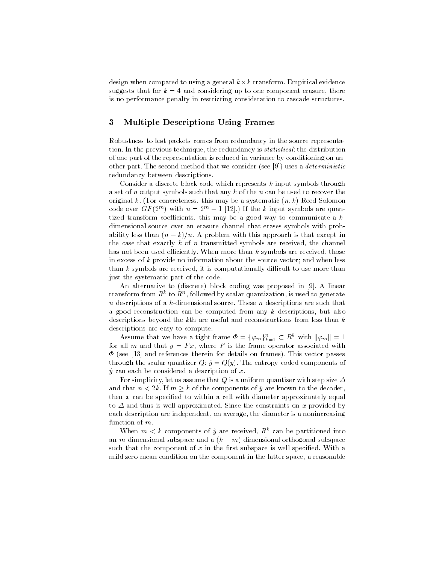design when compared to using a general  $k \times k$  transform. Empirical evidence suggests that for  $k = 4$  and considering up to one component erasure, there is no performance penalty in restricting consideration to cascade structures

#### Multiple Descriptions Using Frames 3

Robustness to lost packets comes from redundancy in the source representa tion In the previous technique the redundancy is statistical- the distribution of one part of the representation is reduced in variance by conditioning on an other part. The second method that we consider (see  $[9]$ ) uses a *deterministic* redundancy between descriptions

Consider a discrete block code which represents  $k$  input symbols through a set of n output symbols such that any  $k$  of the n can be used to recover the original k. (For concreteness, this may be a systematic  $(n, k)$  Reed-Solomon code over GF (2"") with  $n = 2$ ""  $-$  1 [12].) If the k input symbols are quantized transform coefficients, this may be a good way to communicate a  $k$ dimensional source over an erasure channel that erases symbols with prob ability less than  $(n - k)/n$ . A problem with this approach is that except in the case that exactly  $k$  of  $n$  transmitted symbols are received, the channel has not been used efficiently. When more than  $k$  symbols are received, those in excess of  $k$  provide no information about the source vector; and when less than  $k$  symbols are received, it is computationally difficult to use more than just the systematic part of the code

An alternative to (discrete) block coding was proposed in [9]. A linear transform from  $K^-$  to  $K^+$ , followed by scalar quantization, is used to generate n descriptions of a k-dimensional source. These n descriptions are such that a good reconstruction can be computed from any  $k$  descriptions, but also descriptions beyond the kth are useful and reconstructions from less than  $k$ descriptions are easy to compute

Assume that we have a tight frame  $\Phi = \{\varphi_m\}_{k=1}^n \subset R^k$  with  $\|\varphi_m\| = 1$ for all m and that  $y = Fx$ , where F is the frame operator associated with  $\Phi$  (see [13] and references therein for details on frames). This vector passes through the scalar quantizer Q- y Qy The entropycoded components of  $\hat{y}$  can each be considered a description of x.

For simplicity, let us assume that  $Q$  is a uniform quantizer with step size  $\varDelta$ and that  $n < 2k$ . If  $m > k$  of the components of  $\hat{y}$  are known to the decoder, then  $x$  can be specified to within a cell with diameter approximately equal to  $\Delta$  and thus is well approximated. Since the constraints on x provided by each description are independent, on average, the diameter is a nonincreasing function of m.

when  $m < \kappa$  components of y are received.  $R^+$  can be partitioned into an m-dimensional subspace and a  $(k - m)$ -dimensional orthogonal subspace such that the component of  $x$  in the first subspace is well specified. With a mild zero-mean condition on the component in the latter space, a reasonable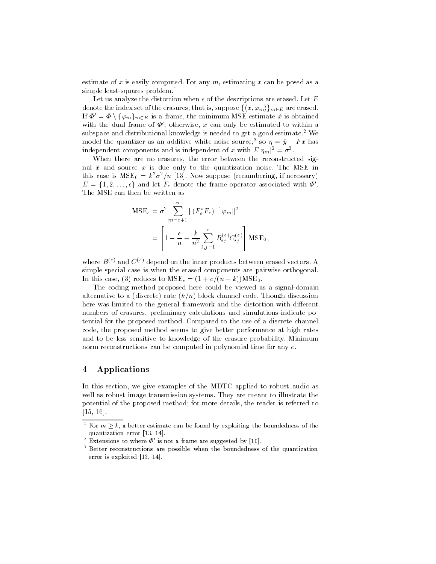estimate of x is easily computed. For any  $m$ , estimating x can be posed as a simple least-squares problem.<sup>1</sup>

Let us analyze the distortion when  $e$  of the descriptions are erased. Let  $E$ denote the index set of the erasures, that is, suppose  $\{\langle x, \varphi_m \rangle\}_{m \in E}$  are erased. If  $\Phi' = \Phi \setminus \{\varphi_m\}_{m \in E}$  is a frame, the minimum MSE estimate  $\hat{x}$  is obtained with the dual frame of  $\Psi$  ; otherwise,  $x$  can only be estimated to within a  $$ subspace and distributional knowledge is needed to get a good estimate.<sup>2</sup> We model the quantizer as an additive white noise source," so  $\eta = y - r \, x$  has independent components and is independent of x with  $E|\eta_m|^2 = \sigma^2$ .

When there are no erasures, the error between the reconstructed signal  $\hat{x}$  and source x is due only to the quantization noise. The MSE in this case is  $MSE_0 = k^{\sigma} \sigma^{\gamma}/n$  [15]. Now suppose (renumbering, if necessary)  $E = \{1,2,\ldots,e\}$  and let  $F_e$  denote the frame operator associated with  $\varPhi'.$ The MSE can then be written as

$$
MSE_e = \sigma^2 \sum_{m=e+1}^{n} ||(F_e^* F_e)^{-1} \varphi_m||^2
$$
  
= 
$$
\left[1 - \frac{e}{n} + \frac{k}{n^2} \sum_{i,j=1}^{e} B_{ij}^{(e)} C_{ij}^{(e)}\right] MSE_0
$$

where  $B^{(e)}$  and  $C^{(e)}$  depend on the inner products between erased vectors. A simple special case is when the erased components are pairwise orthogonal In this case, (b) reduces to mode  $\epsilon = (1 + \epsilon)/(n - \kappa)$  mode.

The coding method proposed here could be viewed as a signal-domain alternative to a (discrete) rate- $(k/n)$  block channel code. Though discussion here was limited to the general framework and the distortion with different numbers of erasures, preliminary calculations and simulations indicate potential for the proposed method Compared to the use of a discrete channel code, the proposed method seems to give better performance at high rates and to be less sensitive to knowledge of the erasure probability Minimum norm reconstructions can be computed in polynomial time for any  $e$ .

#### $\overline{4}$ Applications

In this section, we give examples of the MDTC applied to robust audio as well as robust image transmission systems. They are meant to illustrate the potential of the proposed method; for more details, the reader is referred to  $[15, 16]$ .

 $\lceil$  for  $m > k$ , a better estimate can be found by exploiting the boundedness of the quantization error error error error error error error error error error error error error error error error e

<sup>-</sup> Extensions to where  $\varPsi$  is not a frame are suggested by  $|10|$ .

Better reconstructions are possible when the boundedness of the quantization error en enpressent professor p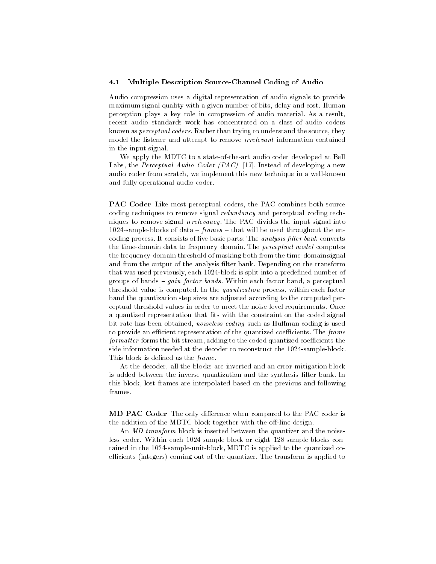#### 4.1 Multiple Description SourceChannel Coding of Audio

Audio compression uses a digital representation of audio signals to provide maximum signal quality with a given number of bits, delay and cost. Human perception plays a key role in compression of audio material As a result recent audio standards work has concentrated on a class of audio coders known as *perceptual coders*. Rather than trying to understand the source, they model the listener and attempt to remove irrelevant information contained in the input signal

We apply the MDTC to a state-of-the-art audio coder developed at Bell Labs, the Perceptual Audio Coder (PAC) [17]. Instead of developing a new audio coder from scratch, we implement this new technique in a well-known and fully operational audio coder

PAC Coder Like most perceptual coders, the PAC combines both source coding techniques to remove signal redundancy and perceptual coding tech niques to remove signal irrelevancy The PAC divides the input signal into 1024-sample-blocks of data -  $frames$  - that will be used throughout the encoding process It consists of ve basic parts- The analysis -lter bank converts the time-domain data to frequency domain. The *perceptual model* computes the frequency-domain threshold of masking both from the time-domain signal and from the output of the analysis filter bank. Depending on the transform that was used previously, each 1024-block is split into a predefined number of groups of bands  $-$  gain factor bands. Within each factor band, a perceptual threshold value is computed. In the quantization process, within each factor band the quantization step sizes are adjusted according to the computed per ceptual threshold values in order to meet the noise level requirements Once a quantized representation that fits with the constraint on the coded signal bit rate has been obtained, noiseless coding such as Huffman coding is used to provide an efficient representation of the quantized coefficients. The  $frame$  $formatter$  forms the bit stream, adding to the coded quantized coefficients the side information needed at the decoder to reconstruct the 1024-sample-block. This block is defined as the  $frame$ .

At the decoder, all the blocks are inverted and an error mitigation block is added between the inverse quantization and the synthesis filter bank. In this block, lost frames are interpolated based on the previous and following frames

MD PAC Coder The only difference when compared to the PAC coder is the addition of the MDTC block together with the off-line design.

An *MD* transform block is inserted between the quantizer and the noiseless coder. Within each 1024-sample-block or eight 128-sample-blocks contained in the  $1024$ -sample-unit-block, MDTC is applied to the quantized coefficients (integers) coming out of the quantizer. The transform is applied to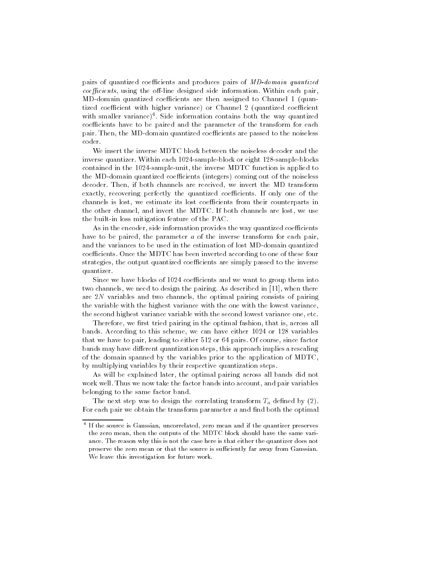pairs of quantized coefficients and produces pairs of MD-domain quantized  $coefficients$ , using the off-line designed side information. Within each pair, MD-domain quantized coefficients are then assigned to Channel 1 (quantized coefficient with higher variance) or Channel 2 (quantized coefficient with smaller variance Side information contains both the way quantized coefficients have to be paired and the parameter of the transform for each pair. Then, the MD-domain quantized coefficients are passed to the noiseless coder

We insert the inverse MDTC block between the noiseless decoder and the inverse quantizer. Within each  $1024$ -sample-block or eight  $128$ -sample-blocks contained in the 1024-sample-unit, the inverse MDTC function is applied to the MD-domain quantized coefficients (integers) coming out of the noiseless decoder. Then, if both channels are received, we invert the MD transform exactly, recovering perfectly the quantized coefficients. If only one of the channels is lost, we estimate its lost coefficients from their counterparts in the other channel and invert the MDTC If both channels are lost we use the built-in loss mitigation feature of the PAC.

As in the encoder, side information provides the way quantized coefficients have to be paired, the parameter  $a$  of the inverse transform for each pair. and the variances to be used in the estimation of lost MD-domain quantized coefficients. Once the MDTC has been inverted according to one of these four strategies, the output quantized coefficients are simply passed to the inverse quantizer

Since we have blocks of 1024 coefficients and we want to group them into two channels, we need to design the pairing. As described in [11], when there are  $2N$  variables and two channels, the optimal pairing consists of pairing the variable with the highest variance with the one with the lowest variance the second highest variance variable with the second lowest variance one, etc.

Therefore, we first tried pairing in the optimal fashion, that is, across all bands. According to this scheme, we can have either 1024 or 128 variables that we have to pair, leading to either  $512$  or  $64$  pairs. Of course, since factor bands may have different quantization steps, this approach implies a rescaling of the domain spanned by the variables prior to the application of MDTC by multiplying variables by their respective quantization steps

As will be explained later, the optimal pairing across all bands did not work well. Thus we now take the factor bands into account, and pair variables belonging to the same factor band

The next step was to design the correlating transform  $T_a$  defined by (2). For each pair we obtain the transform parameter  $a$  and find both the optimal

T If the source is Gaussian, uncorrelated, zero mean and if the quantizer preserves the zero mean, then the outputs of the MDTC block should have the same variance. The reason why this is not the case here is that either the quantizer does not preserve the zero mean or that the source is sufficiently far away from Gaussian. We leave this investigation for future work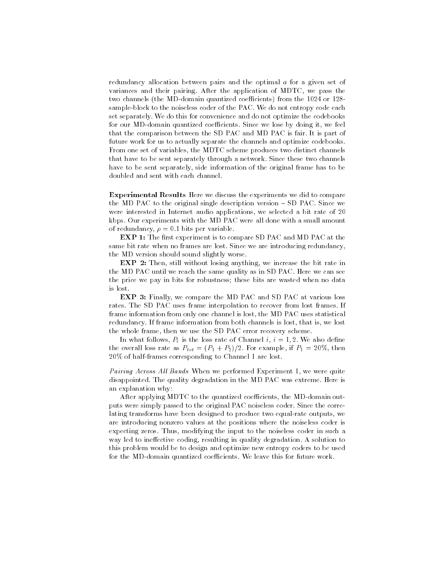redundancy allocation between pairs and the optimal <sup>a</sup> for a given set of variances and their pairing. After the application of MDTC, we pass the two channels (the MD-domain quantized coefficients) from the 1024 or 128sample-block to the noiseless coder of the PAC. We do not entropy code each set separately We do this for convenience and do not optimize the codebooks for our MD-domain quantized coefficients. Since we lose by doing it, we feel that the comparison between the SD PAC and MD PAC is fair It is part of future work for us to actually separate the channels and optimize codebooks From one set of variables, the MDTC scheme produces two distinct channels that have to be sent separately through a network Since these two channels have to be sent separately, side information of the original frame has to be doubled and sent with each channel

Experimental Results Here we discuss the experiments we did to compare the MD PAC to the original single description version  $-$  SD PAC. Since we were interested in Internet audio applications, we selected a bit rate of 20 kbps Our experiments with the MD PAC were all done with a small amount of reduced the personal personal personal per variable and personal personal personal personal personal personal personal personal personal personal personal personal personal personal personal personal personal personal p

EXP - The SD - The SD PAC and MD PAC at the SD PAC and MD PAC and MD PAC and MD PAC and MD PAC and MD PAC and same bit rate when no frames are lost. Since we are introducing redundancy, the MD version should sound slightly worse

**EXP 2:** Then, still without losing anything, we increase the bit rate in the MD PAC until we reach the same quality as in SD PAC. Here we can see the price we pay in bits for robustness; these bits are wasted when no data is lost

**EXP 3:** Finally, we compare the MD PAC and SD PAC at various loss rates. The SD PAC uses frame interpolation to recover from lost frames. If frame information from only one channel is lost, the MD PAC uses statistical redundancy. If frame information from both channels is lost, that is, we lost the whole frame, then we use the SD PAC error recovery scheme.

In what follows,  $P_i$  is the loss rate of Channel i,  $i = 1, 2$ . We also define the overall loss rate as  $P_{tot} = (P_1 + P_2)/2$ . For example, if  $P_1 = 20\%$ , then  $20\%$  of half-frames corresponding to Channel 1 are lost.

Pairing Across All Bands When we performed Experiment 1, we were quite disappointed The quality degradation in the MD PAC was extreme Here is an explanation why:

After applying MDTC to the quantized coefficients, the MD-domain outputs were simply passed to the original PAC noiseless coder Since the corre lating transforms have been designed to produce two equal-rate outputs, we are introducing nonzero values at the positions where the noiseless coder is expecting zeros. Thus, modifying the input to the noiseless coder in such a way led to ineffective coding, resulting in quality degradation. A solution to this problem would be to design and optimize new entropy coders to be used for the MD-domain quantized coefficients. We leave this for future work.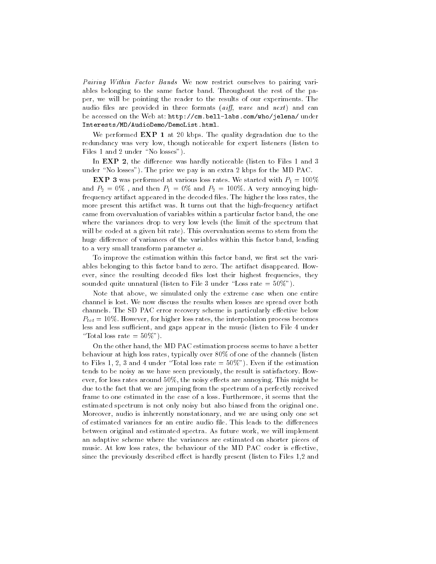Pairing Within Factor Bands We now restrict ourselves to pairing variables belonging to the same factor band. Throughout the rest of the paper, we will be pointing the reader to the results of our experiments. The audio files are provided in three formats (aiff, wave and next) and can be accessed on the Web at- httpcm-belllabs-comwhojelena under InterestsMDAudioDemoDemoList-html

we performed Expert in the degradation due to the contract of the contract of the state of the state of the state of the state of the state of the state of the state of the state of the state of the state of the state of t redundancy was very low, though noticeable for expert listeners (listen to Files 1 and 2 under "No losses").

In EXP 2, the difference was hardly noticeable (listen to Files 1 and 3 under "No losses"). The price we pay is an extra 2 kbps for the MD PAC.

**EXP 3** was performed at various loss rates. We started with  $P_1 = 100\%$ and  $P_2 = 0\%$ , and then  $P_1 = 0\%$  and  $P_2 = 100\%$ . A very annoying highfrequency artifact appeared in the decoded files. The higher the loss rates, the more present this artifact was. It turns out that the high-frequency artifact came from overvaluation of variables within a particular factor band, the one where the variances drop to very low levels (the limit of the spectrum that will be coded at a given bit rate). This overvaluation seems to stem from the huge difference of variances of the variables within this factor band, leading to a very small transform parameter  $a$ .

To improve the estimation within this factor band, we first set the variables belonging to this factor band to zero. The artifact disappeared. However, since the resulting decoded files lost their highest frequencies, they sounded quite unnatural (listen to File 3 under "Loss rate  $=50\%$ ").

Note that above, we simulated only the extreme case when one entire channel is lost We now discuss the results when losses are spread over both channels. The SD PAC error recovery scheme is particularly effective below  $P_{tot} = 10\%$ . However, for higher loss rates, the interpolation process becomes less and less sufficient, and gaps appear in the music (listen to File 4 under "Total loss rate  $= 50\%$ ").

On the other hand, the MD PAC estimation process seems to have a better behaviour at high loss rates, typically over  $80\%$  of one of the channels (listen to Files 1, 2, 3 and 4 under "Total loss rate  $= 50\%$ "). Even if the estimation tends to be noisy as we have seen previously, the result is satisfactory. However, for loss rates around  $50\%$ , the noisy effects are annoying. This might be due to the fact that we are jumping from the spectrum of a perfectly received frame to one estimated in the case of a loss Furthermore it seems that the estimated spectrum is not only noisy but also biased from the original one Moreover, audio is inherently nonstationary, and we are using only one set of estimated variances for an entire audio file. This leads to the differences between original and estimated spectra. As future work, we will implement an adaptive scheme where the variances are estimated on shorter pieces of music. At low loss rates, the behaviour of the MD PAC coder is effective, since the previously described effect is hardly present (listen to Files  $1.2$  and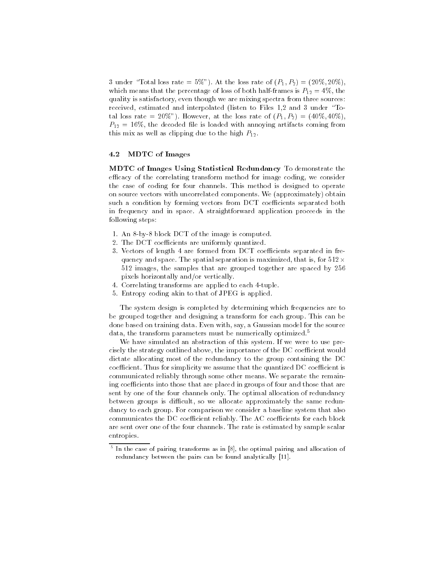3 under "Total loss rate = 5%"). At the loss rate of  $(P_1, P_2) = (20\%, 20\%)$ . which means that the percentage of loss of both half-frames is  $P_{12} = 4\%$ , the quality is satisfactory even though we are mixing spectra from three sourcesreceived, estimated and interpolated (listen to Files 1,2 and 3 under "Total loss rate = 20%"). However, at the loss rate of  $(P_1, P_2) = (40\%, 40\%),$  $P_{12} = 16\%$ , the decoded file is loaded with annoying artifacts coming from this mix as well as clipping due to the high  $P_{12}$ .

### MDTC of Images

MDTC of Images Using Statistical Redundancy To demonstrate the efficacy of the correlating transform method for image coding, we consider the case of coding for four channels This method is designed to operate on source vectors with uncorrelated components. We (approximately) obtain such a condition by forming vectors from DCT coefficients separated both in frequency and in space A straightforward application proceeds in the following steps:

- 1. An 8-by-8 block DCT of the image is computed.
- 2. The DCT coefficients are uniformly quantized.
- 3. Vectors of length 4 are formed from DCT coefficients separated in frequency and space. The spatial separation is maximized, that is, for  $512 \times$  $512$  images, the samples that are grouped together are spaced by  $256$ pixels horizontally and/or vertically.
- 4. Correlating transforms are applied to each 4-tuple.
- 5. Entropy coding akin to that of JPEG is applied.

The system design is completed by determining which frequencies are to be grouped together and designing a transform for each group This can be done based on training data. Even with, say, a Gaussian model for the source data, the transform parameters must be numerically optimized.<sup>5</sup>

We have simulated an abstraction of this system If we were to use pre cisely the strategy outlined above, the importance of the DC coefficient would dictate allocating most of the redundancy to the group containing the DC coefficient. Thus for simplicity we assume that the quantized DC coefficient is communicated reliably through some other means. We separate the remaining coefficients into those that are placed in groups of four and those that are sent by one of the four channels only The optimal allocation of redundancy between groups is difficult, so we allocate approximately the same redundancy to each group. For comparison we consider a baseline system that also communicates the DC coefficient reliably. The AC coefficients for each block are sent over one of the four channels. The rate is estimated by sample scalar entropies

 $^\circ$  in the case of pairing transforms as in  $[8]$ , the optimal pairing and allocation of  $\,$ redundancy between the pairs can be found analytically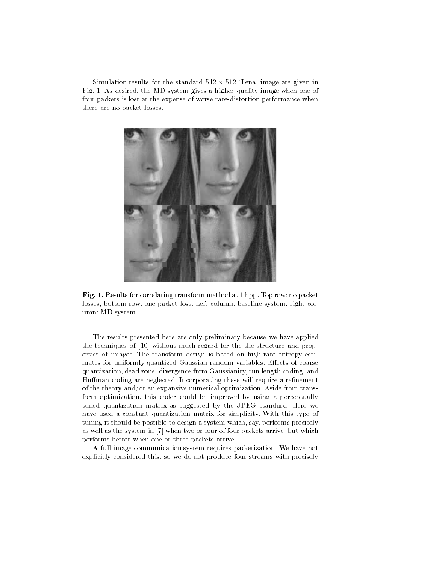Simulation results for the standard  $512 \times 512$  'Lena' image are given in Fig. 1. As desired, the MD system gives a higher quality image when one of four packets is lost at the expense of worse rate-distortion performance when there are no packet losses



Fig - Results for correlating transform method at bpp Top row- no packet losses bottom row- one packet lost Left column- baseline system right col um - Monte and Monte and Monte and Monte and Monte and Monte and Monte and Monte and Monte and Monte and Monte

The results presented here are only preliminary because we have applied the techniques of  $[10]$  without much regard for the the structure and properties of images. The transform design is based on high-rate entropy estimates for uniformly quantized Gaussian random variables. Effects of coarse quantization, dead zone, divergence from Gaussianity, run length coding, and Huffman coding are neglected. Incorporating these will require a refinement of the theory and/or an expansive numerical optimization. Aside from transform optimization this coder could be improved by using a perceptually tuned quantization matrix as suggested by the JPEG standard. Here we have used a constant quantization matrix for simplicity With this type of tuning it should be possible to design a system which, say, performs precisely as well as the system in [7] when two or four of four packets arrive, but which performs better when one or three packets arrive

A full image communication system requires packetization We have not explicitly considered this, so we do not produce four streams with precisely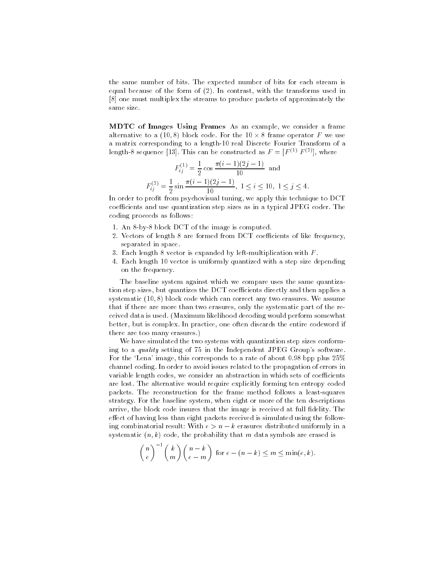the same number of bits The expected number of bits for each stream is equal because of the form of  $(2)$ . In contrast, with the transforms used in one must multiplex the streams to produce packets of approximately the same size

MDTC of Images Using Frames As an example, we consider a frame alternative to a (10,8) block code. For the  $10 \times 8$  frame operator F we use a matrix corresponding to a length-10 real Discrete Fourier Transform of a length-8 sequence [13]. This can be constructed as  $F = [F^{(1)} F^{(2)}]$ , where

$$
F_{ij}^{(1)} = \frac{1}{2} \cos \frac{\pi (i-1)(2j-1)}{10} \text{ and}
$$
  

$$
F_{ij}^{(2)} = \frac{1}{2} \sin \frac{\pi (i-1)(2j-1)}{10}, \ 1 \le i \le 10, \ 1 \le j \le 4
$$

In order to profit from psychovisual tuning, we apply this technique to DCT coefficients and use quantization step sizes as in a typical JPEG coder. The coding proceeds as follows:

- 1. An 8-by-8 block DCT of the image is computed.
- 2. Vectors of length  $8$  are formed from DCT coefficients of like frequency, separated in space
- 3. Each length 8 vector is expanded by left-multiplication with  $F$ .
- 4. Each length 10 vector is uniformly quantized with a step size depending on the frequency

The baseline system against which we compare uses the same quantiza tion step sizes, but quantizes the DCT coefficients directly and then applies a systematic  $(10, 8)$  block code which can correct any two erasures. We assume that if there are more than two erasures, only the systematic part of the received data is used. (Maximum likelihood decoding would perform somewhat better, but is complex. In practice, one often discards the entire codeword if there are too many erasures

We have simulated the two systems with quantization step sizes conform ing to a *quality* setting of  $75$  in the Independent JPEG Group's software. For the 'Lena' image, this corresponds to a rate of about 0.98 bpp plus  $25\%$ channel coding In order to avoid issues related to the propagation of errors in variable length codes, we consider an abstraction in which sets of coefficients are lost. The alternative would require explicitly forming ten entropy coded packets. The reconstruction for the frame method follows a least-squares strategy For the baseline system when eight or more of the ten descriptions arrive, the block code insures that the image is received at full fidelity. The effect of having less than eight packets received is simulated using the follow- $\lim_{n \to \infty}$  combinatorial result. Wrth  $\epsilon > n - \kappa$  erasures distributed uniformly in a systematic  $(n, k)$  code, the probability that m data symbols are erased is

$$
\binom{n}{e}^{-1}\binom{k}{m}\binom{n-k}{e-m}
$$
 for  $e-(n-k) \le m \le \min(e,k)$ .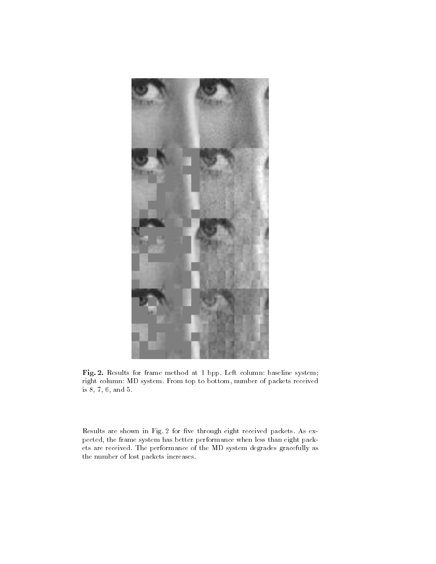

Fig Results for frame method at bpp Left column- baseline system right columns first that the system of  $\mathfrak{p}$  to the column to both  $\mathfrak{p}$  action fields  $\mathfrak{p}$ is  $8, 7, 6,$  and  $5.$ 

Results are shown in Fig. 2 for five through eight received packets. As expected, the frame system has better performance when less than eight packets are received. The performance of the MD system degrades gracefully as the number of lost packets increases